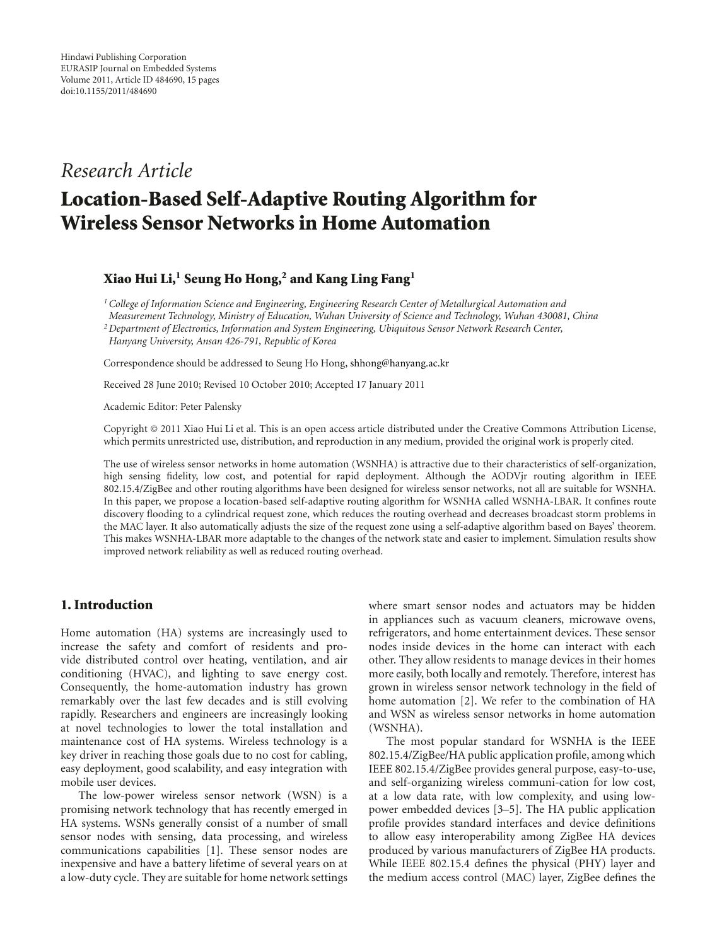## *Research Article*

# **Location-Based Self-Adaptive Routing Algorithm for Wireless Sensor Networks in Home Automation**

## **Xiao Hui Li,1 Seung Ho Hong,2 and Kang Ling Fang1**

*1College of Information Science and Engineering, Engineering Research Center of Metallurgical Automation and*

*Measurement Technology, Ministry of Education, Wuhan University of Science and Technology, Wuhan 430081, China*

*2Department of Electronics, Information and System Engineering, Ubiquitous Sensor Network Research Center,*

*Hanyang University, Ansan 426-791, Republic of Korea*

Correspondence should be addressed to Seung Ho Hong, shhong@hanyang.ac.kr

Received 28 June 2010; Revised 10 October 2010; Accepted 17 January 2011

Academic Editor: Peter Palensky

Copyright © 2011 Xiao Hui Li et al. This is an open access article distributed under the Creative Commons Attribution License, which permits unrestricted use, distribution, and reproduction in any medium, provided the original work is properly cited.

The use of wireless sensor networks in home automation (WSNHA) is attractive due to their characteristics of self-organization, high sensing fidelity, low cost, and potential for rapid deployment. Although the AODVjr routing algorithm in IEEE 802.15.4/ZigBee and other routing algorithms have been designed for wireless sensor networks, not all are suitable for WSNHA. In this paper, we propose a location-based self-adaptive routing algorithm for WSNHA called WSNHA-LBAR. It confines route discovery flooding to a cylindrical request zone, which reduces the routing overhead and decreases broadcast storm problems in the MAC layer. It also automatically adjusts the size of the request zone using a self-adaptive algorithm based on Bayes' theorem. This makes WSNHA-LBAR more adaptable to the changes of the network state and easier to implement. Simulation results show improved network reliability as well as reduced routing overhead.

## **1. Introduction**

Home automation (HA) systems are increasingly used to increase the safety and comfort of residents and provide distributed control over heating, ventilation, and air conditioning (HVAC), and lighting to save energy cost. Consequently, the home-automation industry has grown remarkably over the last few decades and is still evolving rapidly. Researchers and engineers are increasingly looking at novel technologies to lower the total installation and maintenance cost of HA systems. Wireless technology is a key driver in reaching those goals due to no cost for cabling, easy deployment, good scalability, and easy integration with mobile user devices.

The low-power wireless sensor network (WSN) is a promising network technology that has recently emerged in HA systems. WSNs generally consist of a number of small sensor nodes with sensing, data processing, and wireless communications capabilities [1]. These sensor nodes are inexpensive and have a battery lifetime of several years on at a low-duty cycle. They are suitable for home network settings where smart sensor nodes and actuators may be hidden in appliances such as vacuum cleaners, microwave ovens, refrigerators, and home entertainment devices. These sensor nodes inside devices in the home can interact with each other. They allow residents to manage devices in their homes more easily, both locally and remotely. Therefore, interest has grown in wireless sensor network technology in the field of home automation [2]. We refer to the combination of HA and WSN as wireless sensor networks in home automation (WSNHA).

The most popular standard for WSNHA is the IEEE 802.15.4/ZigBee/HA public application profile, among which IEEE 802.15.4/ZigBee provides general purpose, easy-to-use, and self-organizing wireless communi-cation for low cost, at a low data rate, with low complexity, and using lowpower embedded devices [3–5]. The HA public application profile provides standard interfaces and device definitions to allow easy interoperability among ZigBee HA devices produced by various manufacturers of ZigBee HA products. While IEEE 802.15.4 defines the physical (PHY) layer and the medium access control (MAC) layer, ZigBee defines the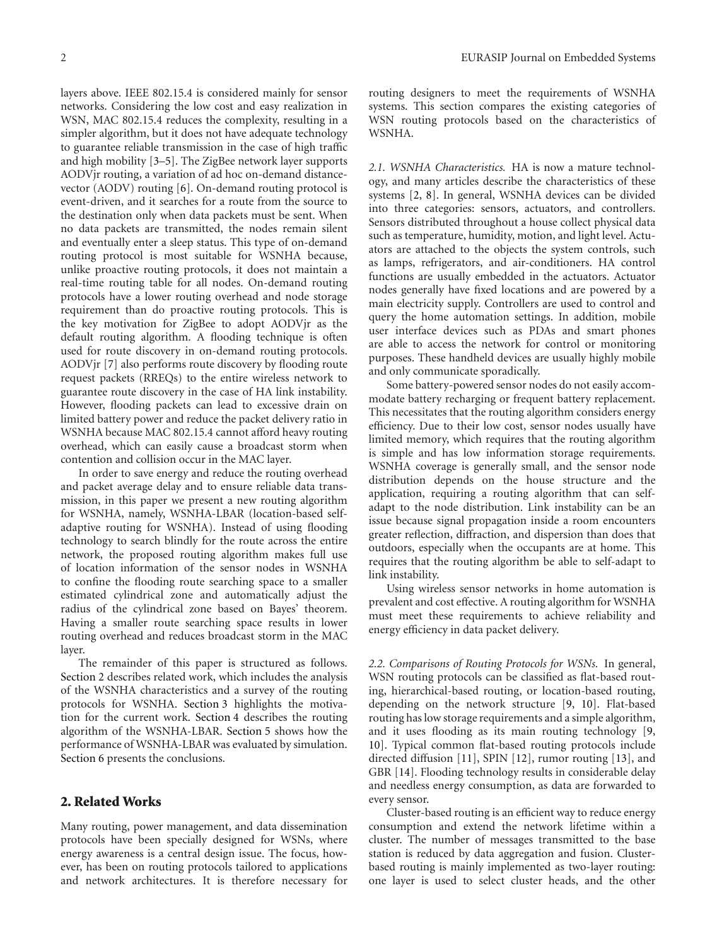layers above. IEEE 802.15.4 is considered mainly for sensor networks. Considering the low cost and easy realization in WSN, MAC 802.15.4 reduces the complexity, resulting in a simpler algorithm, but it does not have adequate technology to guarantee reliable transmission in the case of high traffic and high mobility [3–5]. The ZigBee network layer supports AODVjr routing, a variation of ad hoc on-demand distancevector (AODV) routing [6]. On-demand routing protocol is event-driven, and it searches for a route from the source to the destination only when data packets must be sent. When no data packets are transmitted, the nodes remain silent and eventually enter a sleep status. This type of on-demand routing protocol is most suitable for WSNHA because, unlike proactive routing protocols, it does not maintain a real-time routing table for all nodes. On-demand routing protocols have a lower routing overhead and node storage requirement than do proactive routing protocols. This is the key motivation for ZigBee to adopt AODVjr as the default routing algorithm. A flooding technique is often used for route discovery in on-demand routing protocols. AODVjr [7] also performs route discovery by flooding route request packets (RREQs) to the entire wireless network to guarantee route discovery in the case of HA link instability. However, flooding packets can lead to excessive drain on limited battery power and reduce the packet delivery ratio in WSNHA because MAC 802.15.4 cannot afford heavy routing overhead, which can easily cause a broadcast storm when contention and collision occur in the MAC layer.

In order to save energy and reduce the routing overhead and packet average delay and to ensure reliable data transmission, in this paper we present a new routing algorithm for WSNHA, namely, WSNHA-LBAR (location-based selfadaptive routing for WSNHA). Instead of using flooding technology to search blindly for the route across the entire network, the proposed routing algorithm makes full use of location information of the sensor nodes in WSNHA to confine the flooding route searching space to a smaller estimated cylindrical zone and automatically adjust the radius of the cylindrical zone based on Bayes' theorem. Having a smaller route searching space results in lower routing overhead and reduces broadcast storm in the MAC layer.

The remainder of this paper is structured as follows. Section 2 describes related work, which includes the analysis of the WSNHA characteristics and a survey of the routing protocols for WSNHA. Section 3 highlights the motivation for the current work. Section 4 describes the routing algorithm of the WSNHA-LBAR. Section 5 shows how the performance of WSNHA-LBAR was evaluated by simulation. Section 6 presents the conclusions.

## **2. Related Works**

Many routing, power management, and data dissemination protocols have been specially designed for WSNs, where energy awareness is a central design issue. The focus, however, has been on routing protocols tailored to applications and network architectures. It is therefore necessary for

routing designers to meet the requirements of WSNHA systems. This section compares the existing categories of WSN routing protocols based on the characteristics of WSNHA.

*2.1. WSNHA Characteristics.* HA is now a mature technology, and many articles describe the characteristics of these systems [2, 8]. In general, WSNHA devices can be divided into three categories: sensors, actuators, and controllers. Sensors distributed throughout a house collect physical data such as temperature, humidity, motion, and light level. Actuators are attached to the objects the system controls, such as lamps, refrigerators, and air-conditioners. HA control functions are usually embedded in the actuators. Actuator nodes generally have fixed locations and are powered by a main electricity supply. Controllers are used to control and query the home automation settings. In addition, mobile user interface devices such as PDAs and smart phones are able to access the network for control or monitoring purposes. These handheld devices are usually highly mobile and only communicate sporadically.

Some battery-powered sensor nodes do not easily accommodate battery recharging or frequent battery replacement. This necessitates that the routing algorithm considers energy efficiency. Due to their low cost, sensor nodes usually have limited memory, which requires that the routing algorithm is simple and has low information storage requirements. WSNHA coverage is generally small, and the sensor node distribution depends on the house structure and the application, requiring a routing algorithm that can selfadapt to the node distribution. Link instability can be an issue because signal propagation inside a room encounters greater reflection, diffraction, and dispersion than does that outdoors, especially when the occupants are at home. This requires that the routing algorithm be able to self-adapt to link instability.

Using wireless sensor networks in home automation is prevalent and cost effective. A routing algorithm for WSNHA must meet these requirements to achieve reliability and energy efficiency in data packet delivery.

*2.2. Comparisons of Routing Protocols for WSNs.* In general, WSN routing protocols can be classified as flat-based routing, hierarchical-based routing, or location-based routing, depending on the network structure [9, 10]. Flat-based routing has low storage requirements and a simple algorithm, and it uses flooding as its main routing technology [9, 10]. Typical common flat-based routing protocols include directed diffusion [11], SPIN [12], rumor routing [13], and GBR [14]. Flooding technology results in considerable delay and needless energy consumption, as data are forwarded to every sensor.

Cluster-based routing is an efficient way to reduce energy consumption and extend the network lifetime within a cluster. The number of messages transmitted to the base station is reduced by data aggregation and fusion. Clusterbased routing is mainly implemented as two-layer routing: one layer is used to select cluster heads, and the other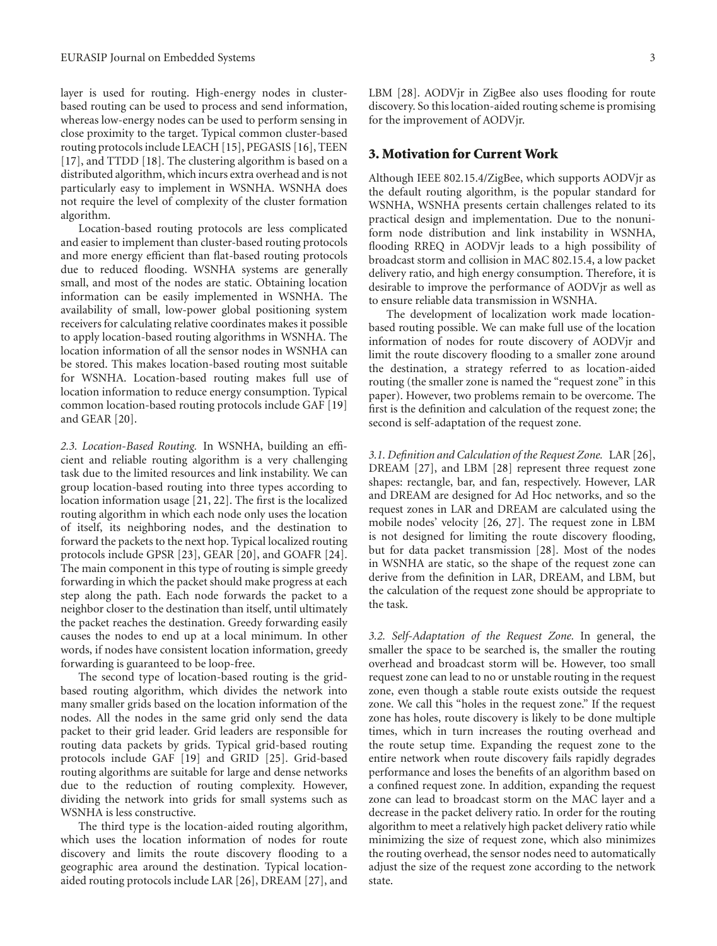layer is used for routing. High-energy nodes in clusterbased routing can be used to process and send information, whereas low-energy nodes can be used to perform sensing in close proximity to the target. Typical common cluster-based routing protocols include LEACH [15], PEGASIS [16], TEEN [17], and TTDD [18]. The clustering algorithm is based on a distributed algorithm, which incurs extra overhead and is not particularly easy to implement in WSNHA. WSNHA does not require the level of complexity of the cluster formation algorithm.

Location-based routing protocols are less complicated and easier to implement than cluster-based routing protocols and more energy efficient than flat-based routing protocols due to reduced flooding. WSNHA systems are generally small, and most of the nodes are static. Obtaining location information can be easily implemented in WSNHA. The availability of small, low-power global positioning system receivers for calculating relative coordinates makes it possible to apply location-based routing algorithms in WSNHA. The location information of all the sensor nodes in WSNHA can be stored. This makes location-based routing most suitable for WSNHA. Location-based routing makes full use of location information to reduce energy consumption. Typical common location-based routing protocols include GAF [19] and GEAR [20].

*2.3. Location-Based Routing.* In WSNHA, building an efficient and reliable routing algorithm is a very challenging task due to the limited resources and link instability. We can group location-based routing into three types according to location information usage [21, 22]. The first is the localized routing algorithm in which each node only uses the location of itself, its neighboring nodes, and the destination to forward the packets to the next hop. Typical localized routing protocols include GPSR [23], GEAR [20], and GOAFR [24]. The main component in this type of routing is simple greedy forwarding in which the packet should make progress at each step along the path. Each node forwards the packet to a neighbor closer to the destination than itself, until ultimately the packet reaches the destination. Greedy forwarding easily causes the nodes to end up at a local minimum. In other words, if nodes have consistent location information, greedy forwarding is guaranteed to be loop-free.

The second type of location-based routing is the gridbased routing algorithm, which divides the network into many smaller grids based on the location information of the nodes. All the nodes in the same grid only send the data packet to their grid leader. Grid leaders are responsible for routing data packets by grids. Typical grid-based routing protocols include GAF [19] and GRID [25]. Grid-based routing algorithms are suitable for large and dense networks due to the reduction of routing complexity. However, dividing the network into grids for small systems such as WSNHA is less constructive.

The third type is the location-aided routing algorithm, which uses the location information of nodes for route discovery and limits the route discovery flooding to a geographic area around the destination. Typical locationaided routing protocols include LAR [26], DREAM [27], and LBM [28]. AODVjr in ZigBee also uses flooding for route discovery. So this location-aided routing scheme is promising for the improvement of AODVjr.

## **3. Motivation for Current Work**

Although IEEE 802.15.4/ZigBee, which supports AODVjr as the default routing algorithm, is the popular standard for WSNHA, WSNHA presents certain challenges related to its practical design and implementation. Due to the nonuniform node distribution and link instability in WSNHA, flooding RREQ in AODVjr leads to a high possibility of broadcast storm and collision in MAC 802.15.4, a low packet delivery ratio, and high energy consumption. Therefore, it is desirable to improve the performance of AODVjr as well as to ensure reliable data transmission in WSNHA.

The development of localization work made locationbased routing possible. We can make full use of the location information of nodes for route discovery of AODVjr and limit the route discovery flooding to a smaller zone around the destination, a strategy referred to as location-aided routing (the smaller zone is named the "request zone" in this paper). However, two problems remain to be overcome. The first is the definition and calculation of the request zone; the second is self-adaptation of the request zone.

*3.1. Definition and Calculation of the Request Zone.* LAR [26], DREAM [27], and LBM [28] represent three request zone shapes: rectangle, bar, and fan, respectively. However, LAR and DREAM are designed for Ad Hoc networks, and so the request zones in LAR and DREAM are calculated using the mobile nodes' velocity [26, 27]. The request zone in LBM is not designed for limiting the route discovery flooding, but for data packet transmission [28]. Most of the nodes in WSNHA are static, so the shape of the request zone can derive from the definition in LAR, DREAM, and LBM, but the calculation of the request zone should be appropriate to the task.

*3.2. Self-Adaptation of the Request Zone.* In general, the smaller the space to be searched is, the smaller the routing overhead and broadcast storm will be. However, too small request zone can lead to no or unstable routing in the request zone, even though a stable route exists outside the request zone. We call this "holes in the request zone." If the request zone has holes, route discovery is likely to be done multiple times, which in turn increases the routing overhead and the route setup time. Expanding the request zone to the entire network when route discovery fails rapidly degrades performance and loses the benefits of an algorithm based on a confined request zone. In addition, expanding the request zone can lead to broadcast storm on the MAC layer and a decrease in the packet delivery ratio. In order for the routing algorithm to meet a relatively high packet delivery ratio while minimizing the size of request zone, which also minimizes the routing overhead, the sensor nodes need to automatically adjust the size of the request zone according to the network state.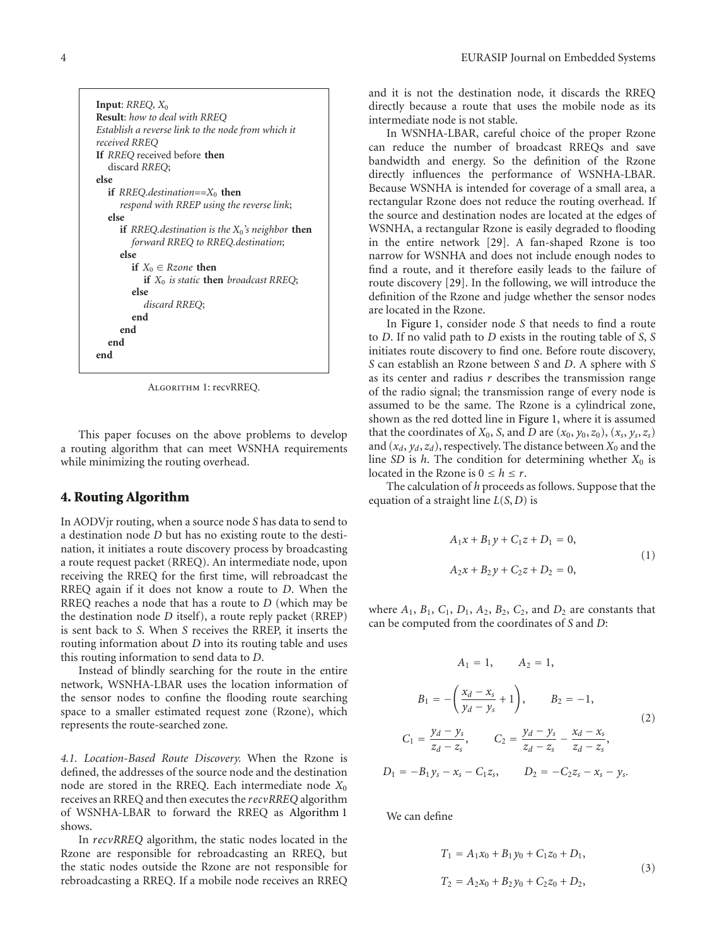**Input**: *RREQ, X*<sup>0</sup> **Result**: *how to deal with RREQ Establish a reverse link to the node from which it received RREQ* **If** *RREQ* received before **then** discard *RREQ*; **else if** *RREQ*.*destination*==*X*<sup>0</sup> **then** *respond with RREP using the reverse link*; **else if** *RREQ.destination is the X*0*'s neighbor* **then** *forward RREQ to RREQ.destination*; **else if**  $X_0 \in Rzone$  **then if** *X*<sup>0</sup> *is static* **then** *broadcast RREQ*; **else** *discard RREQ*; **end end end end**

Algorithm 1: recvRREQ.

This paper focuses on the above problems to develop a routing algorithm that can meet WSNHA requirements while minimizing the routing overhead.

## **4. Routing Algorithm**

In AODVjr routing, when a source node *S* has data to send to a destination node *D* but has no existing route to the destination, it initiates a route discovery process by broadcasting a route request packet (RREQ). An intermediate node, upon receiving the RREQ for the first time, will rebroadcast the RREQ again if it does not know a route to *D*. When the RREQ reaches a node that has a route to *D* (which may be the destination node *D* itself), a route reply packet (RREP) is sent back to *S*. When *S* receives the RREP, it inserts the routing information about *D* into its routing table and uses this routing information to send data to *D*.

Instead of blindly searching for the route in the entire network, WSNHA-LBAR uses the location information of the sensor nodes to confine the flooding route searching space to a smaller estimated request zone (Rzone), which represents the route-searched zone.

*4.1. Location-Based Route Discovery.* When the Rzone is defined, the addresses of the source node and the destination node are stored in the RREQ. Each intermediate node *X*<sup>0</sup> receives an RREQ and then executes the *recvRREQ* algorithm of WSNHA-LBAR to forward the RREQ as Algorithm 1 shows.

In *recvRREQ* algorithm, the static nodes located in the Rzone are responsible for rebroadcasting an RREQ, but the static nodes outside the Rzone are not responsible for rebroadcasting a RREQ. If a mobile node receives an RREQ and it is not the destination node, it discards the RREQ directly because a route that uses the mobile node as its intermediate node is not stable.

In WSNHA-LBAR, careful choice of the proper Rzone can reduce the number of broadcast RREQs and save bandwidth and energy. So the definition of the Rzone directly influences the performance of WSNHA-LBAR. Because WSNHA is intended for coverage of a small area, a rectangular Rzone does not reduce the routing overhead. If the source and destination nodes are located at the edges of WSNHA, a rectangular Rzone is easily degraded to flooding in the entire network [29]. A fan-shaped Rzone is too narrow for WSNHA and does not include enough nodes to find a route, and it therefore easily leads to the failure of route discovery [29]. In the following, we will introduce the definition of the Rzone and judge whether the sensor nodes are located in the Rzone.

In Figure 1, consider node *S* that needs to find a route to *D*. If no valid path to *D* exists in the routing table of *S*, *S* initiates route discovery to find one. Before route discovery, *S* can establish an Rzone between *S* and *D*. A sphere with *S* as its center and radius *r* describes the transmission range of the radio signal; the transmission range of every node is assumed to be the same. The Rzone is a cylindrical zone, shown as the red dotted line in Figure 1, where it is assumed that the coordinates of  $X_0$ , S, and D are  $(x_0, y_0, z_0)$ ,  $(x_s, y_s, z_s)$ and  $(x_d, y_d, z_d)$ , respectively. The distance between  $X_0$  and the line *SD* is *h*. The condition for determining whether  $X_0$  is located in the Rzone is  $0 \le h \le r$ .

The calculation of *h* proceeds as follows. Suppose that the equation of a straight line  $L(S, D)$  is

$$
A_1x + B_1y + C_1z + D_1 = 0,
$$
  
\n
$$
A_2x + B_2y + C_2z + D_2 = 0,
$$
\n(1)

where  $A_1$ ,  $B_1$ ,  $C_1$ ,  $D_1$ ,  $A_2$ ,  $B_2$ ,  $C_2$ , and  $D_2$  are constants that can be computed from the coordinates of *S* and *D*:

$$
A_1 = 1, \t A_2 = 1,
$$
  
\n
$$
B_1 = -\left(\frac{x_d - x_s}{y_d - y_s} + 1\right), \t B_2 = -1,
$$
  
\n
$$
C_1 = \frac{y_d - y_s}{z_d - z_s}, \t C_2 = \frac{y_d - y_s}{z_d - z_s} - \frac{x_d - x_s}{z_d - z_s},
$$
  
\n
$$
D_1 = -B_1 y_s - x_s - C_1 z_s, \t D_2 = -C_2 z_s - x_s - y_s.
$$
  
\n(2)

We can define

$$
T_1 = A_1 x_0 + B_1 y_0 + C_1 z_0 + D_1,
$$
  
\n
$$
T_2 = A_2 x_0 + B_2 y_0 + C_2 z_0 + D_2,
$$
\n(3)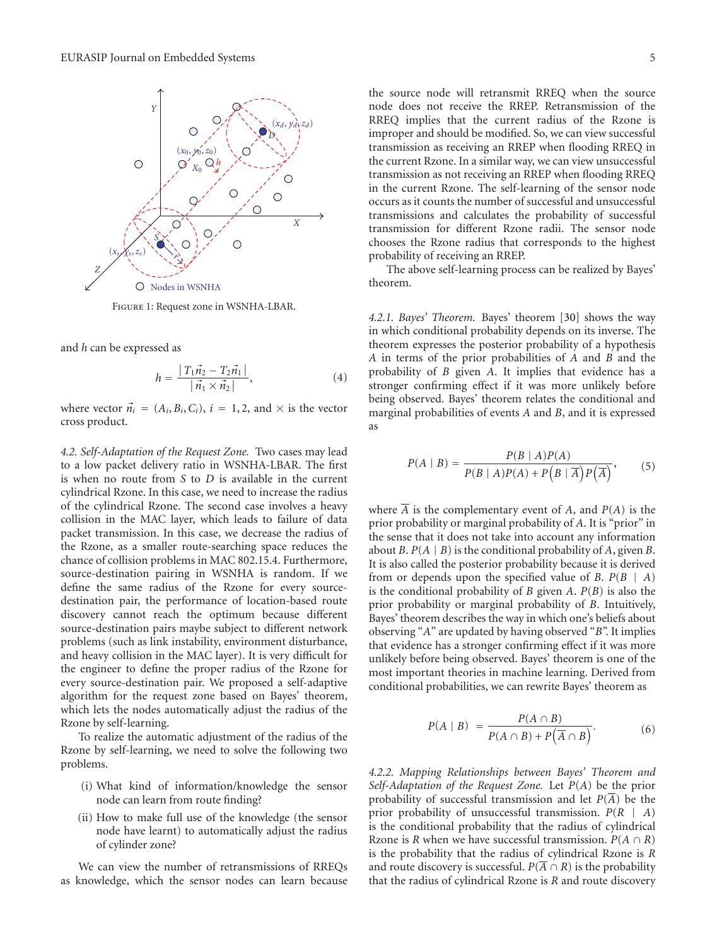

Figure 1: Request zone in WSNHA-LBAR.

and *h* can be expressed as

$$
h = \frac{|T_1 \vec{n}_2 - T_2 \vec{n}_1|}{|\vec{n}_1 \times \vec{n}_2|},
$$
\n(4)

where vector  $\vec{n}_i = (A_i, B_i, C_i), i = 1, 2, \text{ and } \times \text{ is the vector}$ cross product.

*4.2. Self-Adaptation of the Request Zone.* Two cases may lead to a low packet delivery ratio in WSNHA-LBAR. The first is when no route from *S* to *D* is available in the current cylindrical Rzone. In this case, we need to increase the radius of the cylindrical Rzone. The second case involves a heavy collision in the MAC layer, which leads to failure of data packet transmission. In this case, we decrease the radius of the Rzone, as a smaller route-searching space reduces the chance of collision problems in MAC 802.15.4. Furthermore, source-destination pairing in WSNHA is random. If we define the same radius of the Rzone for every sourcedestination pair, the performance of location-based route discovery cannot reach the optimum because different source-destination pairs maybe subject to different network problems (such as link instability, environment disturbance, and heavy collision in the MAC layer). It is very difficult for the engineer to define the proper radius of the Rzone for every source-destination pair. We proposed a self-adaptive algorithm for the request zone based on Bayes' theorem, which lets the nodes automatically adjust the radius of the Rzone by self-learning.

To realize the automatic adjustment of the radius of the Rzone by self-learning, we need to solve the following two problems.

- (i) What kind of information/knowledge the sensor node can learn from route finding?
- (ii) How to make full use of the knowledge (the sensor node have learnt) to automatically adjust the radius of cylinder zone?

We can view the number of retransmissions of RREQs as knowledge, which the sensor nodes can learn because the source node will retransmit RREQ when the source node does not receive the RREP. Retransmission of the RREQ implies that the current radius of the Rzone is improper and should be modified. So, we can view successful transmission as receiving an RREP when flooding RREQ in the current Rzone. In a similar way, we can view unsuccessful transmission as not receiving an RREP when flooding RREQ in the current Rzone. The self-learning of the sensor node occurs as it counts the number of successful and unsuccessful transmissions and calculates the probability of successful transmission for different Rzone radii. The sensor node chooses the Rzone radius that corresponds to the highest probability of receiving an RREP.

The above self-learning process can be realized by Bayes' theorem.

*4.2.1. Bayes' Theorem.* Bayes' theorem [30] shows the way in which conditional probability depends on its inverse. The theorem expresses the posterior probability of a hypothesis *A* in terms of the prior probabilities of *A* and *B* and the probability of *B* given *A*. It implies that evidence has a stronger confirming effect if it was more unlikely before being observed. Bayes' theorem relates the conditional and marginal probabilities of events *A* and *B*, and it is expressed as

$$
P(A \mid B) = \frac{P(B \mid A)P(A)}{P(B \mid A)P(A) + P(B \mid \overline{A})P(\overline{A})},
$$
(5)

where *A* is the complementary event of *A*, and *P*(*A*) is the prior probability or marginal probability of *A*. It is "prior" in the sense that it does not take into account any information about *B*. *P*(*A* | *B*) is the conditional probability of *A*, given *B*. It is also called the posterior probability because it is derived from or depends upon the specified value of *B*.  $P(B \mid A)$ is the conditional probability of *B* given *A*. *P*(*B*) is also the prior probability or marginal probability of *B*. Intuitively, Bayes' theorem describes the way in which one's beliefs about observing "*A*" are updated by having observed "*B*". It implies that evidence has a stronger confirming effect if it was more unlikely before being observed. Bayes' theorem is one of the most important theories in machine learning. Derived from conditional probabilities, we can rewrite Bayes' theorem as

$$
P(A | B) = \frac{P(A \cap B)}{P(A \cap B) + P(\overline{A} \cap B)}.
$$
 (6)

*4.2.2. Mapping Relationships between Bayes' Theorem and Self-Adaptation of the Request Zone.* Let *P*(*A*) be the prior probability of successful transmission and let  $P(\overline{A})$  be the prior probability of unsuccessful transmission. *P*(*R* | *A*) is the conditional probability that the radius of cylindrical Rzone is *R* when we have successful transmission.  $P(A \cap R)$ is the probability that the radius of cylindrical Rzone is *R* and route discovery is successful.  $P(\overline{A} \cap R)$  is the probability that the radius of cylindrical Rzone is *R* and route discovery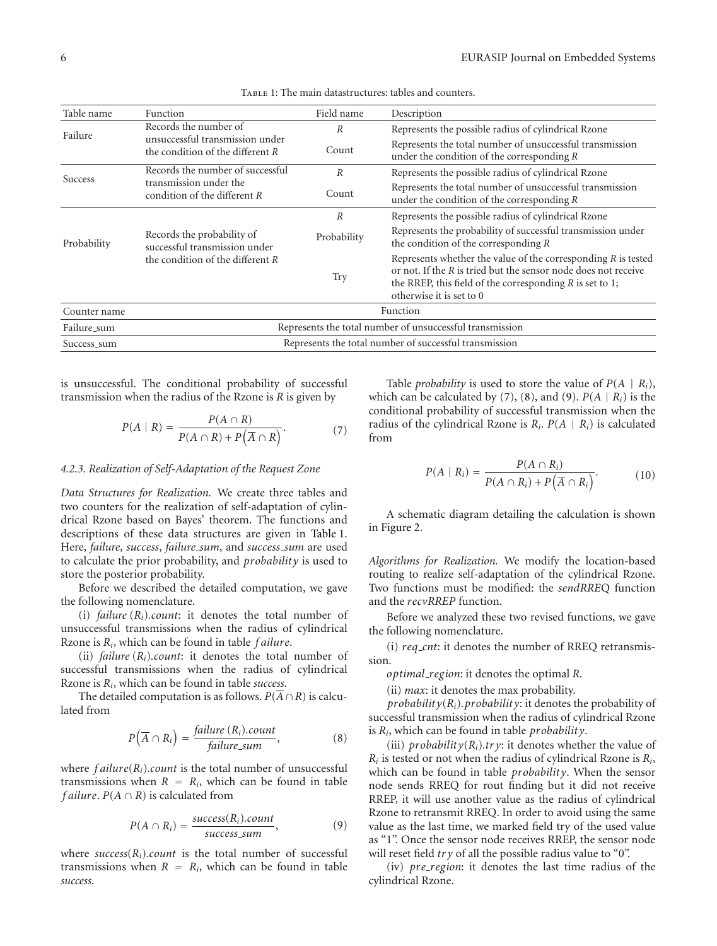| Table name   | Function                                                                                        | Field name       | Description                                                                                                                                                                                                                   |  |  |
|--------------|-------------------------------------------------------------------------------------------------|------------------|-------------------------------------------------------------------------------------------------------------------------------------------------------------------------------------------------------------------------------|--|--|
| Failure      | Records the number of                                                                           | R                | Represents the possible radius of cylindrical Rzone                                                                                                                                                                           |  |  |
|              | unsuccessful transmission under<br>the condition of the different R                             | Count            | Represents the total number of unsuccessful transmission<br>under the condition of the corresponding $R$                                                                                                                      |  |  |
| Success      | Records the number of successful                                                                | $\boldsymbol{R}$ | Represents the possible radius of cylindrical Rzone                                                                                                                                                                           |  |  |
|              | transmission under the<br>condition of the different $R$                                        | Count            | Represents the total number of unsuccessful transmission<br>under the condition of the corresponding $R$                                                                                                                      |  |  |
| Probability  | Records the probability of<br>successful transmission under<br>the condition of the different R | $\boldsymbol{R}$ | Represents the possible radius of cylindrical Rzone                                                                                                                                                                           |  |  |
|              |                                                                                                 | Probability      | Represents the probability of successful transmission under<br>the condition of the corresponding $R$                                                                                                                         |  |  |
|              |                                                                                                 | Try              | Represents whether the value of the corresponding $R$ is tested<br>or not. If the $R$ is tried but the sensor node does not receive<br>the RREP, this field of the corresponding $R$ is set to 1;<br>otherwise it is set to 0 |  |  |
| Counter name | Function                                                                                        |                  |                                                                                                                                                                                                                               |  |  |
| Failure_sum  | Represents the total number of unsuccessful transmission                                        |                  |                                                                                                                                                                                                                               |  |  |
| Success_sum  | Represents the total number of successful transmission                                          |                  |                                                                                                                                                                                                                               |  |  |

Table 1: The main datastructures: tables and counters.

is unsuccessful. The conditional probability of successful transmission when the radius of the Rzone is *R* is given by

$$
P(A \mid R) = \frac{P(A \cap R)}{P(A \cap R) + P(\overline{A} \cap R)}.\tag{7}
$$

#### *4.2.3. Realization of Self-Adaptation of the Request Zone*

*Data Structures for Realization.* We create three tables and two counters for the realization of self-adaptation of cylindrical Rzone based on Bayes' theorem. The functions and descriptions of these data structures are given in Table 1. Here, *failure*, *success*, *failure sum*, and *success sum* are used to calculate the prior probability, and *probability* is used to store the posterior probability.

Before we described the detailed computation, we gave the following nomenclature.

(i) *failure* (*Ri*)*.count*: it denotes the total number of unsuccessful transmissions when the radius of cylindrical Rzone is *Ri*, which can be found in table *f ailure*.

(ii) *failure* (*Ri*)*.count*: it denotes the total number of successful transmissions when the radius of cylindrical Rzone is *Ri*, which can be found in table *success*.

The detailed computation is as follows.  $P(\overline{A} \cap R)$  is calculated from

$$
P(\overline{A} \cap R_i) = \frac{\text{failure } (R_i).count}{\text{failure-sum}}, \qquad (8)
$$

where  $failure(R<sub>i</sub>)$ .*count* is the total number of unsuccessful transmissions when  $R = R_i$ , which can be found in table *f ailure.*  $P(A \cap R)$  is calculated from

$$
P(A \cap R_i) = \frac{\text{success}(R_i).\text{count}}{\text{success\_sum}},\tag{9}
$$

where  $success(R<sub>i</sub>)$ *.count* is the total number of successful transmissions when  $R = R_i$ , which can be found in table *success*.

Table *probability* is used to store the value of  $P(A | R_i)$ , which can be calculated by (7), (8), and (9).  $P(A | R_i)$  is the conditional probability of successful transmission when the radius of the cylindrical Rzone is  $R_i$ .  $P(A | R_i)$  is calculated from

$$
P(A \mid R_i) = \frac{P(A \cap R_i)}{P(A \cap R_i) + P(\overline{A} \cap R_i)}.
$$
 (10)

A schematic diagram detailing the calculation is shown in Figure 2.

*Algorithms for Realization.* We modify the location-based routing to realize self-adaptation of the cylindrical Rzone. Two functions must be modified: the *sendRRE*Q function and the *recvRREP* function.

Before we analyzed these two revised functions, we gave the following nomenclature.

(i) *req cnt*: it denotes the number of RREQ retransmission.

*optimal region*: it denotes the optimal *R*.

(ii) *max*: it denotes the max probability.

*probability*(*Ri*)*.probability*: it denotes the probability of successful transmission when the radius of cylindrical Rzone is *Ri*, which can be found in table *probability*.

(iii) *probability*( $R_i$ )*.try*: it denotes whether the value of *Ri* is tested or not when the radius of cylindrical Rzone is *Ri*, which can be found in table *probability*. When the sensor node sends RREQ for rout finding but it did not receive RREP, it will use another value as the radius of cylindrical Rzone to retransmit RREQ. In order to avoid using the same value as the last time, we marked field try of the used value as "1". Once the sensor node receives RREP, the sensor node will reset field *try* of all the possible radius value to "0".

(iv) *pre region*: it denotes the last time radius of the cylindrical Rzone.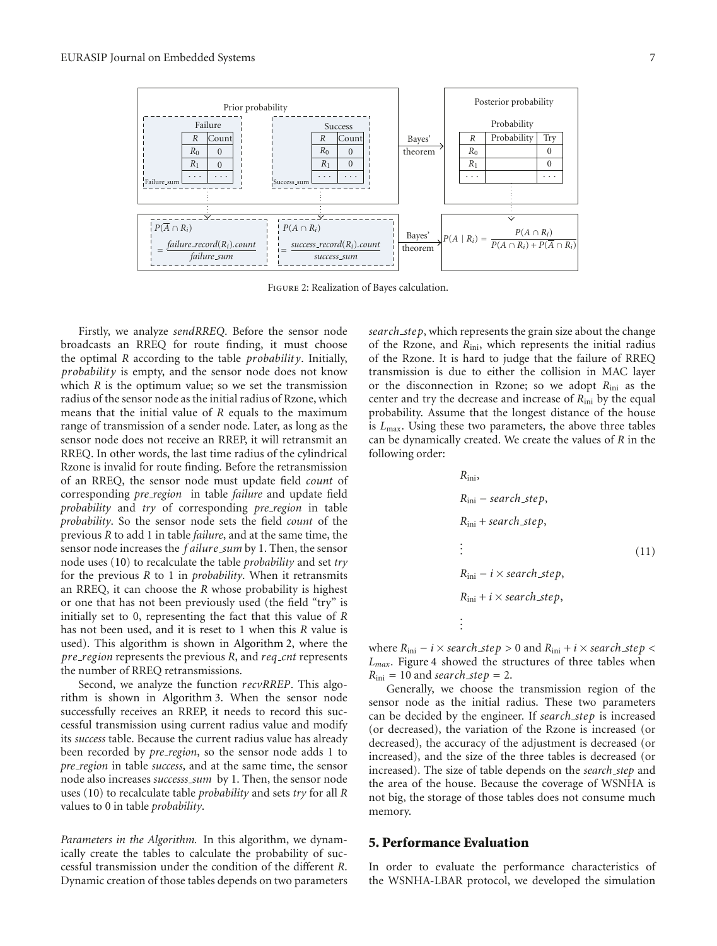

Figure 2: Realization of Bayes calculation.

Firstly, we analyze *sendRREQ*. Before the sensor node broadcasts an RREQ for route finding, it must choose the optimal *R* according to the table *probability*. Initially, *probability* is empty, and the sensor node does not know which  *is the optimum value; so we set the transmission* radius of the sensor node as the initial radius of Rzone, which means that the initial value of *R* equals to the maximum range of transmission of a sender node. Later, as long as the sensor node does not receive an RREP, it will retransmit an RREQ. In other words, the last time radius of the cylindrical Rzone is invalid for route finding. Before the retransmission of an RREQ, the sensor node must update field *count* of corresponding *pre region* in table *failure* and update field *probability* and *try* of corresponding *pre region* in table *probability*. So the sensor node sets the field *count* of the previous *R* to add 1 in table *failure*, and at the same time, the sensor node increases the *f ailure sum* by 1. Then, the sensor node uses (10) to recalculate the table *probability* and set *try* for the previous *R* to 1 in *probability*. When it retransmits an RREQ, it can choose the *R* whose probability is highest or one that has not been previously used (the field "try" is initially set to 0, representing the fact that this value of *R* has not been used, and it is reset to 1 when this *R* value is used). This algorithm is shown in Algorithm 2, where the *pre region* represents the previous *R*, and *req cnt* represents the number of RREQ retransmissions.

Second, we analyze the function *recvRREP*. This algorithm is shown in Algorithm 3. When the sensor node successfully receives an RREP, it needs to record this successful transmission using current radius value and modify its *success* table. Because the current radius value has already been recorded by *pre region*, so the sensor node adds 1 to *pre region* in table *success*, and at the same time, the sensor node also increases *successs sum* by 1. Then, the sensor node uses (10) to recalculate table *probability* and sets *try* for all *R* values to 0 in table *probability*.

*Parameters in the Algorithm.* In this algorithm, we dynamically create the tables to calculate the probability of successful transmission under the condition of the different *R*. Dynamic creation of those tables depends on two parameters *search step*, which represents the grain size about the change of the Rzone, and *R*ini, which represents the initial radius of the Rzone. It is hard to judge that the failure of RREQ transmission is due to either the collision in MAC layer or the disconnection in Rzone; so we adopt *R*ini as the center and try the decrease and increase of *R*ini by the equal probability. Assume that the longest distance of the house is *L*max. Using these two parameters, the above three tables can be dynamically created. We create the values of *R* in the following order:

$$
R_{\text{ini}},
$$
\n
$$
R_{\text{ini}} - search\text{step},
$$
\n
$$
R_{\text{ini}} + search\text{step},
$$
\n
$$
\vdots
$$
\n
$$
R_{\text{ini}} - i \times search\text{step},
$$
\n
$$
R_{\text{ini}} + i \times search\text{step},
$$
\n
$$
\vdots
$$
\n(11)

 $where R<sub>ini</sub> − i × search$ *step* > 0 and  $R<sub>ini</sub> + i × search$ *step* < *Lmax*. Figure 4 showed the structures of three tables when  $R_{\text{ini}} = 10$  and *search\_step* = 2.

Generally, we choose the transmission region of the sensor node as the initial radius. These two parameters can be decided by the engineer. If *search step* is increased (or decreased), the variation of the Rzone is increased (or decreased), the accuracy of the adjustment is decreased (or increased), and the size of the three tables is decreased (or increased). The size of table depends on the *search step* and the area of the house. Because the coverage of WSNHA is not big, the storage of those tables does not consume much memory.

## **5. Performance Evaluation**

In order to evaluate the performance characteristics of the WSNHA-LBAR protocol, we developed the simulation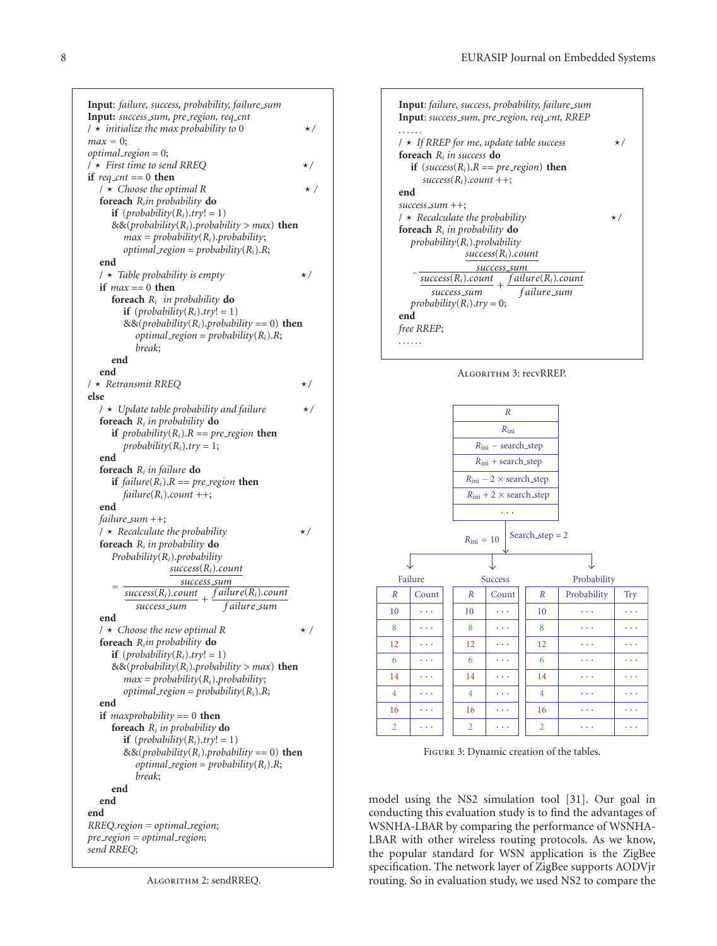**Input**: *failure, success, probability, failure sum* **Input:** *success sum, pre region, req cnt*  $\prime \star$  *initialize the max probability to* 0  $\star$  /  $max = 0$ ; *optimal region* = 0; / *First time to send RREQ /* **if**  $req\_cnt == 0$  **then**  $\overrightarrow{A}$  *Choose the optimal* R  $\overrightarrow{A}$  / **foreach** *Riin probability* **do if**  $(\text{probability}(R_i), \text{try}! = 1)$ &&(*probability*(*Ri*).*probability > max*) **then** *max = probability*(*Ri*).*probability*; *optimal\_region* =  $probability(R<sub>i</sub>)$ .*R*; **end** / *Table probability is empty /* **if** *max* == 0 **then foreach** *Ri in probability* **do if**  $(\text{probability}(R_i) \cdot \text{try}! = 1)$ &&(*probability*(*Ri*).*probability* == 0) **then** *optimal region* = *probability*(*Ri*).*R*; *break*; **end end** / *Retransmit RREQ /* **else**  $\rightarrow$  *V Update table probability and failure*  $\rightarrow$  / **foreach** *Ri in probability* **do if**  $\text{probability}(R_i) \cdot R = \text{pre-region}$  **then**  $probability(R<sub>i</sub>)$ .*try* = 1; **end foreach** *Ri in failure* **do if**  $failure(R_i) \cdot R == pre\_region$  **then**  $failure(R<sub>i</sub>)$ .*count* ++; **end** *failure sum* ++;  $\rightarrow$  *Recalculate the probability*  $\rightarrow$  / **foreach** *Ri in probability* **do** *Probability*(*Ri*).*probability* = *success*(*Ri*)*.count success sum success*(*Ri*)*.count success sum* <sup>+</sup> *f ailure*(*Ri*)*.count f ailure sum* **end**  $\rightarrow$  *Choose the new optimal* R  $\rightarrow$  / **foreach** *Riin probability* **do if**  $(\text{probability}(R_i) . \text{try!} = 1)$  $& \& \& (probability(R_i).probability > max)$  then *max = probability*(*Ri*).*probability*; *optimal region* = *probability*(*Ri*).*R*; **end if** *maxprobability* == 0 **then foreach** *Ri in probability* **do if**  $(\text{probability}(R_i) . \text{try!} = 1)$ &&(*probability*(*Ri*).*probability* == 0) **then**  $optimal\_region = probability(R_i).R;$ *break*; **end end end** *RREQ.region = optimal region*; *pre region = optimal region*; *send RREQ*;

Algorithm 2: sendRREQ.



Algorithm 3: recvRREP.



Figure 3: Dynamic creation of the tables.

model using the NS2 simulation tool [31]. Our goal in conducting this evaluation study is to find the advantages of WSNHA-LBAR by comparing the performance of WSNHA-LBAR with other wireless routing protocols. As we know, the popular standard for WSN application is the ZigBee specification. The network layer of ZigBee supports AODVjr routing. So in evaluation study, we used NS2 to compare the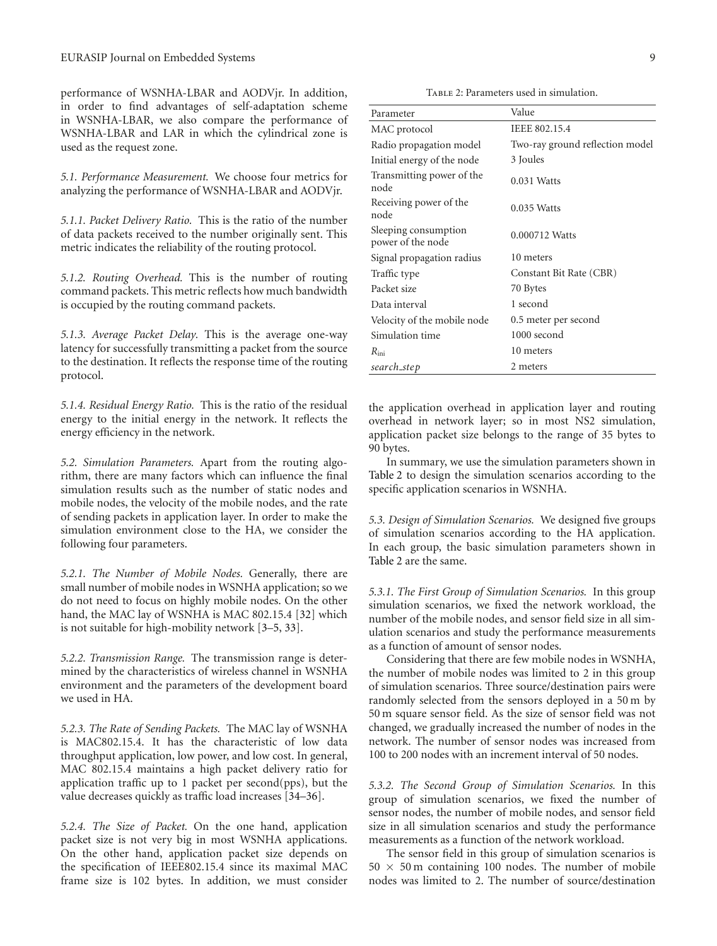## EURASIP Journal on Embedded Systems 9

performance of WSNHA-LBAR and AODVjr. In addition, in order to find advantages of self-adaptation scheme in WSNHA-LBAR, we also compare the performance of WSNHA-LBAR and LAR in which the cylindrical zone is used as the request zone.

*5.1. Performance Measurement.* We choose four metrics for analyzing the performance of WSNHA-LBAR and AODVjr.

*5.1.1. Packet Delivery Ratio.* This is the ratio of the number of data packets received to the number originally sent. This metric indicates the reliability of the routing protocol.

*5.1.2. Routing Overhead.* This is the number of routing command packets. This metric reflects how much bandwidth is occupied by the routing command packets.

*5.1.3. Average Packet Delay.* This is the average one-way latency for successfully transmitting a packet from the source to the destination. It reflects the response time of the routing protocol.

*5.1.4. Residual Energy Ratio.* This is the ratio of the residual energy to the initial energy in the network. It reflects the energy efficiency in the network.

*5.2. Simulation Parameters.* Apart from the routing algorithm, there are many factors which can influence the final simulation results such as the number of static nodes and mobile nodes, the velocity of the mobile nodes, and the rate of sending packets in application layer. In order to make the simulation environment close to the HA, we consider the following four parameters.

*5.2.1. The Number of Mobile Nodes.* Generally, there are small number of mobile nodes in WSNHA application; so we do not need to focus on highly mobile nodes. On the other hand, the MAC lay of WSNHA is MAC 802.15.4 [32] which is not suitable for high-mobility network [3–5, 33].

*5.2.2. Transmission Range.* The transmission range is determined by the characteristics of wireless channel in WSNHA environment and the parameters of the development board we used in HA.

*5.2.3. The Rate of Sending Packets.* The MAC lay of WSNHA is MAC802.15.4. It has the characteristic of low data throughput application, low power, and low cost. In general, MAC 802.15.4 maintains a high packet delivery ratio for application traffic up to 1 packet per second(pps), but the value decreases quickly as traffic load increases [34–36].

*5.2.4. The Size of Packet.* On the one hand, application packet size is not very big in most WSNHA applications. On the other hand, application packet size depends on the specification of IEEE802.15.4 since its maximal MAC frame size is 102 bytes. In addition, we must consider

Table 2: Parameters used in simulation.

| Parameter                                 | Value                           |
|-------------------------------------------|---------------------------------|
| MAC protocol                              | IEEE 802.15.4                   |
| Radio propagation model                   | Two-ray ground reflection model |
| Initial energy of the node                | 3 Joules                        |
| Transmitting power of the.<br>node        | 0.031 Watts                     |
| Receiving power of the<br>node            | $0.035$ Watts                   |
| Sleeping consumption<br>power of the node | 0.000712 Watts                  |
| Signal propagation radius                 | 10 meters                       |
| Traffic type                              | Constant Bit Rate (CBR)         |
| Packet size                               | 70 Bytes                        |
| Data interval                             | 1 second                        |
| Velocity of the mobile node               | 0.5 meter per second            |
| Simulation time                           | 1000 second                     |
| $R_{\rm ini}$                             | 10 meters                       |
| search_step                               | 2 meters                        |

the application overhead in application layer and routing overhead in network layer; so in most NS2 simulation, application packet size belongs to the range of 35 bytes to 90 bytes.

In summary, we use the simulation parameters shown in Table 2 to design the simulation scenarios according to the specific application scenarios in WSNHA.

*5.3. Design of Simulation Scenarios.* We designed five groups of simulation scenarios according to the HA application. In each group, the basic simulation parameters shown in Table 2 are the same.

*5.3.1. The First Group of Simulation Scenarios.* In this group simulation scenarios, we fixed the network workload, the number of the mobile nodes, and sensor field size in all simulation scenarios and study the performance measurements as a function of amount of sensor nodes.

Considering that there are few mobile nodes in WSNHA, the number of mobile nodes was limited to 2 in this group of simulation scenarios. Three source/destination pairs were randomly selected from the sensors deployed in a 50 m by 50 m square sensor field. As the size of sensor field was not changed, we gradually increased the number of nodes in the network. The number of sensor nodes was increased from 100 to 200 nodes with an increment interval of 50 nodes.

*5.3.2. The Second Group of Simulation Scenarios.* In this group of simulation scenarios, we fixed the number of sensor nodes, the number of mobile nodes, and sensor field size in all simulation scenarios and study the performance measurements as a function of the network workload.

The sensor field in this group of simulation scenarios is  $50 \times 50$  m containing 100 nodes. The number of mobile nodes was limited to 2. The number of source/destination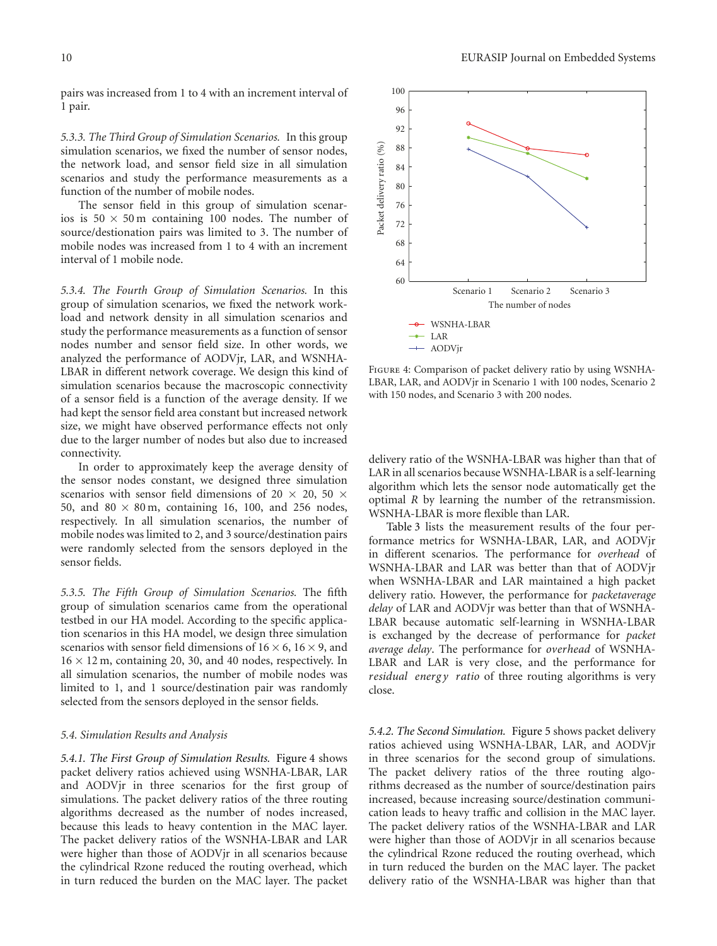pairs was increased from 1 to 4 with an increment interval of 1 pair.

*5.3.3. The Third Group of Simulation Scenarios.* In this group simulation scenarios, we fixed the number of sensor nodes, the network load, and sensor field size in all simulation scenarios and study the performance measurements as a function of the number of mobile nodes.

The sensor field in this group of simulation scenarios is  $50 \times 50$  m containing 100 nodes. The number of source/destionation pairs was limited to 3. The number of mobile nodes was increased from 1 to 4 with an increment interval of 1 mobile node.

*5.3.4. The Fourth Group of Simulation Scenarios.* In this group of simulation scenarios, we fixed the network workload and network density in all simulation scenarios and study the performance measurements as a function of sensor nodes number and sensor field size. In other words, we analyzed the performance of AODVjr, LAR, and WSNHA-LBAR in different network coverage. We design this kind of simulation scenarios because the macroscopic connectivity of a sensor field is a function of the average density. If we had kept the sensor field area constant but increased network size, we might have observed performance effects not only due to the larger number of nodes but also due to increased connectivity.

In order to approximately keep the average density of the sensor nodes constant, we designed three simulation scenarios with sensor field dimensions of 20  $\times$  20, 50  $\times$ 50, and  $80 \times 80$  m, containing 16, 100, and 256 nodes, respectively. In all simulation scenarios, the number of mobile nodes was limited to 2, and 3 source/destination pairs were randomly selected from the sensors deployed in the sensor fields.

*5.3.5. The Fifth Group of Simulation Scenarios.* The fifth group of simulation scenarios came from the operational testbed in our HA model. According to the specific application scenarios in this HA model, we design three simulation scenarios with sensor field dimensions of  $16 \times 6$ ,  $16 \times 9$ , and  $16 \times 12$  m, containing 20, 30, and 40 nodes, respectively. In all simulation scenarios, the number of mobile nodes was limited to 1, and 1 source/destination pair was randomly selected from the sensors deployed in the sensor fields.

#### *5.4. Simulation Results and Analysis*

*5.4.1. The First Group of Simulation Results.* Figure 4 shows packet delivery ratios achieved using WSNHA-LBAR, LAR and AODVjr in three scenarios for the first group of simulations. The packet delivery ratios of the three routing algorithms decreased as the number of nodes increased, because this leads to heavy contention in the MAC layer. The packet delivery ratios of the WSNHA-LBAR and LAR were higher than those of AODVjr in all scenarios because the cylindrical Rzone reduced the routing overhead, which in turn reduced the burden on the MAC layer. The packet



Figure 4: Comparison of packet delivery ratio by using WSNHA-LBAR, LAR, and AODVjr in Scenario 1 with 100 nodes, Scenario 2 with 150 nodes, and Scenario 3 with 200 nodes.

delivery ratio of the WSNHA-LBAR was higher than that of LAR in all scenarios because WSNHA-LBAR is a self-learning algorithm which lets the sensor node automatically get the optimal *R* by learning the number of the retransmission. WSNHA-LBAR is more flexible than LAR.

Table 3 lists the measurement results of the four performance metrics for WSNHA-LBAR, LAR, and AODVjr in different scenarios. The performance for *overhead* of WSNHA-LBAR and LAR was better than that of AODVjr when WSNHA-LBAR and LAR maintained a high packet delivery ratio. However, the performance for *packetaverage delay* of LAR and AODVjr was better than that of WSNHA-LBAR because automatic self-learning in WSNHA-LBAR is exchanged by the decrease of performance for *packet average delay*. The performance for *overhead* of WSNHA-LBAR and LAR is very close, and the performance for *residual energy ratio* of three routing algorithms is very close.

*5.4.2. The Second Simulation.* Figure 5 shows packet delivery ratios achieved using WSNHA-LBAR, LAR, and AODVjr in three scenarios for the second group of simulations. The packet delivery ratios of the three routing algorithms decreased as the number of source/destination pairs increased, because increasing source/destination communication leads to heavy traffic and collision in the MAC layer. The packet delivery ratios of the WSNHA-LBAR and LAR were higher than those of AODVjr in all scenarios because the cylindrical Rzone reduced the routing overhead, which in turn reduced the burden on the MAC layer. The packet delivery ratio of the WSNHA-LBAR was higher than that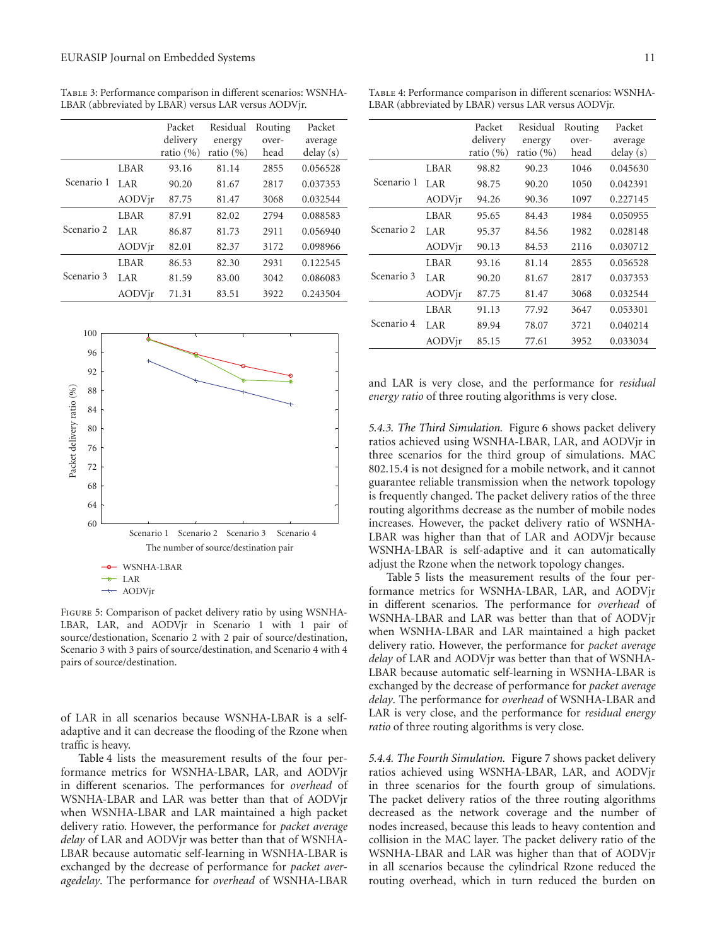Table 3: Performance comparison in different scenarios: WSNHA-LBAR (abbreviated by LBAR) versus LAR versus AODVjr.

|            |        | Packet<br>delivery<br>ratio $(\% )$ | Residual<br>energy<br>ratio $(\% )$ | Routing<br>over-<br>head | Packet<br>average<br>delay(s) |
|------------|--------|-------------------------------------|-------------------------------------|--------------------------|-------------------------------|
|            | LBAR   | 93.16                               | 81.14                               | 2855                     | 0.056528                      |
| Scenario 1 | LAR    | 90.20                               | 81.67                               | 2817                     | 0.037353                      |
|            | AODVjr | 87.75                               | 81.47                               | 3068                     | 0.032544                      |
|            | LBAR   | 87.91                               | 82.02                               | 2794                     | 0.088583                      |
| Scenario 2 | LAR    | 86.87                               | 81.73                               | 2911                     | 0.056940                      |
|            | AODVjr | 82.01                               | 82.37                               | 3172                     | 0.098966                      |
| Scenario 3 | LBAR   | 86.53                               | 82.30                               | 2931                     | 0.122545                      |
|            | LAR    | 81.59                               | 83.00                               | 3042                     | 0.086083                      |
|            | AODVir | 71.31                               | 83.51                               | 3922                     | 0.243504                      |



Figure 5: Comparison of packet delivery ratio by using WSNHA-LBAR, LAR, and AODVjr in Scenario 1 with 1 pair of source/destionation, Scenario 2 with 2 pair of source/destination, Scenario 3 with 3 pairs of source/destination, and Scenario 4 with 4 pairs of source/destination.

of LAR in all scenarios because WSNHA-LBAR is a selfadaptive and it can decrease the flooding of the Rzone when traffic is heavy.

Table 4 lists the measurement results of the four performance metrics for WSNHA-LBAR, LAR, and AODVjr in different scenarios. The performances for *overhead* of WSNHA-LBAR and LAR was better than that of AODVjr when WSNHA-LBAR and LAR maintained a high packet delivery ratio. However, the performance for *packet average delay* of LAR and AODVjr was better than that of WSNHA-LBAR because automatic self-learning in WSNHA-LBAR is exchanged by the decrease of performance for *packet averagedelay*. The performance for *overhead* of WSNHA-LBAR

Table 4: Performance comparison in different scenarios: WSNHA-LBAR (abbreviated by LBAR) versus LAR versus AODVjr.

|            |        | Packet        | Residual      | Routing | Packet   |
|------------|--------|---------------|---------------|---------|----------|
|            |        | delivery      | energy        | over-   | average  |
|            |        | ratio $(\% )$ | ratio $(\% )$ | head    | delay(s) |
|            | LBAR   | 98.82         | 90.23         | 1046    | 0.045630 |
| Scenario 1 | LAR    | 98.75         | 90.20         | 1050    | 0.042391 |
|            | AODVjr | 94.26         | 90.36         | 1097    | 0.227145 |
|            | LBAR   | 95.65         | 84.43         | 1984    | 0.050955 |
| Scenario 2 | LAR    | 95.37         | 84.56         | 1982    | 0.028148 |
|            | AODVjr | 90.13         | 84.53         | 2116    | 0.030712 |
|            | LBAR   | 93.16         | 81.14         | 2855    | 0.056528 |
| Scenario 3 | LAR    | 90.20         | 81.67         | 2817    | 0.037353 |
|            | AODVjr | 87.75         | 81.47         | 3068    | 0.032544 |
| Scenario 4 | LBAR   | 91.13         | 77.92         | 3647    | 0.053301 |
|            | LAR    | 89.94         | 78.07         | 3721    | 0.040214 |
|            | AODVir | 85.15         | 77.61         | 3952    | 0.033034 |

and LAR is very close, and the performance for *residual energy ratio* of three routing algorithms is very close.

*5.4.3. The Third Simulation.* Figure 6 shows packet delivery ratios achieved using WSNHA-LBAR, LAR, and AODVjr in three scenarios for the third group of simulations. MAC 802.15.4 is not designed for a mobile network, and it cannot guarantee reliable transmission when the network topology is frequently changed. The packet delivery ratios of the three routing algorithms decrease as the number of mobile nodes increases. However, the packet delivery ratio of WSNHA-LBAR was higher than that of LAR and AODVjr because WSNHA-LBAR is self-adaptive and it can automatically adjust the Rzone when the network topology changes.

Table 5 lists the measurement results of the four performance metrics for WSNHA-LBAR, LAR, and AODVjr in different scenarios. The performance for *overhead* of WSNHA-LBAR and LAR was better than that of AODVjr when WSNHA-LBAR and LAR maintained a high packet delivery ratio. However, the performance for *packet average delay* of LAR and AODVjr was better than that of WSNHA-LBAR because automatic self-learning in WSNHA-LBAR is exchanged by the decrease of performance for *packet average delay*. The performance for *overhead* of WSNHA-LBAR and LAR is very close, and the performance for *residual energy ratio* of three routing algorithms is very close.

*5.4.4. The Fourth Simulation.* Figure 7 shows packet delivery ratios achieved using WSNHA-LBAR, LAR, and AODVjr in three scenarios for the fourth group of simulations. The packet delivery ratios of the three routing algorithms decreased as the network coverage and the number of nodes increased, because this leads to heavy contention and collision in the MAC layer. The packet delivery ratio of the WSNHA-LBAR and LAR was higher than that of AODVjr in all scenarios because the cylindrical Rzone reduced the routing overhead, which in turn reduced the burden on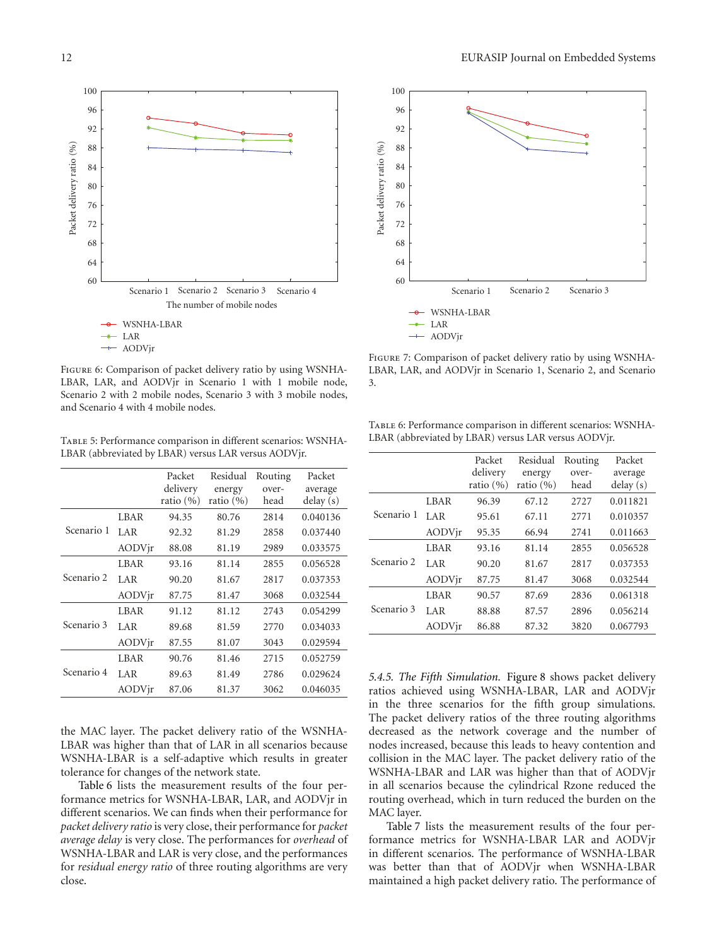

Figure 6: Comparison of packet delivery ratio by using WSNHA-LBAR, LAR, and AODVjr in Scenario 1 with 1 mobile node, Scenario 2 with 2 mobile nodes, Scenario 3 with 3 mobile nodes, and Scenario 4 with 4 mobile nodes.

Table 5: Performance comparison in different scenarios: WSNHA-LBAR (abbreviated by LBAR) versus LAR versus AODVjr.

|            |        | Packet<br>delivery<br>ratio $(\% )$ | Residual<br>energy<br>ratio $(\% )$ | Routing<br>over-<br>head | Packet<br>average<br>delay(s) |
|------------|--------|-------------------------------------|-------------------------------------|--------------------------|-------------------------------|
|            | LBAR   | 94.35                               | 80.76                               | 2814                     | 0.040136                      |
| Scenario 1 | LAR    | 92.32                               | 81.29                               | 2858                     | 0.037440                      |
|            | AODVjr | 88.08                               | 81.19                               | 2989                     | 0.033575                      |
|            | LBAR   | 93.16                               | 81.14                               | 2855                     | 0.056528                      |
| Scenario 2 | LAR    | 90.20                               | 81.67                               | 2817                     | 0.037353                      |
|            | AODVjr | 87.75                               | 81.47                               | 3068                     | 0.032544                      |
|            | LBAR   | 91.12                               | 81.12                               | 2743                     | 0.054299                      |
| Scenario 3 | LAR    | 89.68                               | 81.59                               | 2770                     | 0.034033                      |
|            | AODVjr | 87.55                               | 81.07                               | 3043                     | 0.029594                      |
| Scenario 4 | LBAR   | 90.76                               | 81.46                               | 2715                     | 0.052759                      |
|            | LAR    | 89.63                               | 81.49                               | 2786                     | 0.029624                      |
|            | AODVjr | 87.06                               | 81.37                               | 3062                     | 0.046035                      |

the MAC layer. The packet delivery ratio of the WSNHA-LBAR was higher than that of LAR in all scenarios because WSNHA-LBAR is a self-adaptive which results in greater tolerance for changes of the network state.

Table 6 lists the measurement results of the four performance metrics for WSNHA-LBAR, LAR, and AODVjr in different scenarios. We can finds when their performance for *packet delivery ratio* is very close, their performance for *packet average delay* is very close. The performances for *overhead* of WSNHA-LBAR and LAR is very close, and the performances for *residual energy ratio* of three routing algorithms are very close.



Figure 7: Comparison of packet delivery ratio by using WSNHA-LBAR, LAR, and AODVjr in Scenario 1, Scenario 2, and Scenario 3.

Table 6: Performance comparison in different scenarios: WSNHA-LBAR (abbreviated by LBAR) versus LAR versus AODVjr.

|                  | Packet<br>delivery<br>ratio $(\% )$ | Residual<br>energy<br>ratio $(\% )$ | Routing<br>over-<br>head | Packet<br>average<br>delay(s) |
|------------------|-------------------------------------|-------------------------------------|--------------------------|-------------------------------|
| LBAR             | 96.39                               | 67.12                               | 2727                     | 0.011821                      |
| <b>LAR</b>       | 95.61                               | 67.11                               | 2771                     | 0.010357                      |
| AODVjr           | 95.35                               | 66.94                               | 2741                     | 0.011663                      |
| LBAR             | 93.16                               | 81.14                               | 2855                     | 0.056528                      |
| LAR <sup>1</sup> | 90.20                               | 81.67                               | 2817                     | 0.037353                      |
| AODVjr           | 87.75                               | 81.47                               | 3068                     | 0.032544                      |
| LBAR             | 90.57                               | 87.69                               | 2836                     | 0.061318                      |
| LAR <sup>1</sup> | 88.88                               | 87.57                               | 2896                     | 0.056214                      |
| AODVir           | 86.88                               | 87.32                               | 3820                     | 0.067793                      |
|                  |                                     |                                     |                          |                               |

*5.4.5. The Fifth Simulation.* Figure 8 shows packet delivery ratios achieved using WSNHA-LBAR, LAR and AODVjr in the three scenarios for the fifth group simulations. The packet delivery ratios of the three routing algorithms decreased as the network coverage and the number of nodes increased, because this leads to heavy contention and collision in the MAC layer. The packet delivery ratio of the WSNHA-LBAR and LAR was higher than that of AODVjr in all scenarios because the cylindrical Rzone reduced the routing overhead, which in turn reduced the burden on the MAC layer.

Table 7 lists the measurement results of the four performance metrics for WSNHA-LBAR LAR and AODVjr in different scenarios. The performance of WSNHA-LBAR was better than that of AODVjr when WSNHA-LBAR maintained a high packet delivery ratio. The performance of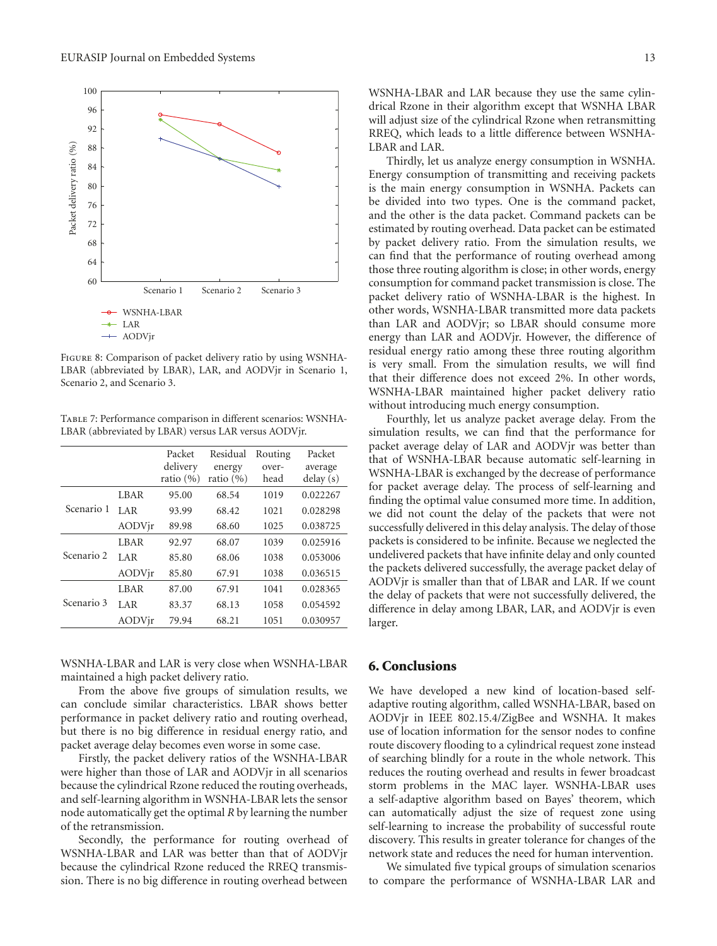

Figure 8: Comparison of packet delivery ratio by using WSNHA-LBAR (abbreviated by LBAR), LAR, and AODVjr in Scenario 1, Scenario 2, and Scenario 3.

Table 7: Performance comparison in different scenarios: WSNHA-LBAR (abbreviated by LBAR) versus LAR versus AODVjr.

|            |        | Packet<br>delivery<br>ratio $(\% )$ | Residual<br>energy<br>ratio $(\% )$ | Routing<br>over-<br>head | Packet<br>average<br>delay(s) |
|------------|--------|-------------------------------------|-------------------------------------|--------------------------|-------------------------------|
|            | LBAR   | 95.00                               | 68.54                               | 1019                     | 0.022267                      |
| Scenario 1 | LAR    | 93.99                               | 68.42                               | 1021                     | 0.028298                      |
|            | AODVjr | 89.98                               | 68.60                               | 1025                     | 0.038725                      |
|            | LBAR   | 92.97                               | 68.07                               | 1039                     | 0.025916                      |
| Scenario 2 | LAR    | 85.80                               | 68.06                               | 1038                     | 0.053006                      |
|            | AODVjr | 85.80                               | 67.91                               | 1038                     | 0.036515                      |
| Scenario 3 | LBAR   | 87.00                               | 67.91                               | 1041                     | 0.028365                      |
|            | LAR    | 83.37                               | 68.13                               | 1058                     | 0.054592                      |
|            | AODVir | 79.94                               | 68.21                               | 1051                     | 0.030957                      |

WSNHA-LBAR and LAR is very close when WSNHA-LBAR maintained a high packet delivery ratio.

From the above five groups of simulation results, we can conclude similar characteristics. LBAR shows better performance in packet delivery ratio and routing overhead, but there is no big difference in residual energy ratio, and packet average delay becomes even worse in some case.

Firstly, the packet delivery ratios of the WSNHA-LBAR were higher than those of LAR and AODVjr in all scenarios because the cylindrical Rzone reduced the routing overheads, and self-learning algorithm in WSNHA-LBAR lets the sensor node automatically get the optimal *R* by learning the number of the retransmission.

Secondly, the performance for routing overhead of WSNHA-LBAR and LAR was better than that of AODVjr because the cylindrical Rzone reduced the RREQ transmission. There is no big difference in routing overhead between

WSNHA-LBAR and LAR because they use the same cylindrical Rzone in their algorithm except that WSNHA LBAR will adjust size of the cylindrical Rzone when retransmitting RREQ, which leads to a little difference between WSNHA-LBAR and LAR.

Thirdly, let us analyze energy consumption in WSNHA. Energy consumption of transmitting and receiving packets is the main energy consumption in WSNHA. Packets can be divided into two types. One is the command packet, and the other is the data packet. Command packets can be estimated by routing overhead. Data packet can be estimated by packet delivery ratio. From the simulation results, we can find that the performance of routing overhead among those three routing algorithm is close; in other words, energy consumption for command packet transmission is close. The packet delivery ratio of WSNHA-LBAR is the highest. In other words, WSNHA-LBAR transmitted more data packets than LAR and AODVjr; so LBAR should consume more energy than LAR and AODVjr. However, the difference of residual energy ratio among these three routing algorithm is very small. From the simulation results, we will find that their difference does not exceed 2%. In other words, WSNHA-LBAR maintained higher packet delivery ratio without introducing much energy consumption.

Fourthly, let us analyze packet average delay. From the simulation results, we can find that the performance for packet average delay of LAR and AODVjr was better than that of WSNHA-LBAR because automatic self-learning in WSNHA-LBAR is exchanged by the decrease of performance for packet average delay. The process of self-learning and finding the optimal value consumed more time. In addition, we did not count the delay of the packets that were not successfully delivered in this delay analysis. The delay of those packets is considered to be infinite. Because we neglected the undelivered packets that have infinite delay and only counted the packets delivered successfully, the average packet delay of AODVjr is smaller than that of LBAR and LAR. If we count the delay of packets that were not successfully delivered, the difference in delay among LBAR, LAR, and AODVjr is even larger.

## **6. Conclusions**

We have developed a new kind of location-based selfadaptive routing algorithm, called WSNHA-LBAR, based on AODVjr in IEEE 802.15.4/ZigBee and WSNHA. It makes use of location information for the sensor nodes to confine route discovery flooding to a cylindrical request zone instead of searching blindly for a route in the whole network. This reduces the routing overhead and results in fewer broadcast storm problems in the MAC layer. WSNHA-LBAR uses a self-adaptive algorithm based on Bayes' theorem, which can automatically adjust the size of request zone using self-learning to increase the probability of successful route discovery. This results in greater tolerance for changes of the network state and reduces the need for human intervention.

We simulated five typical groups of simulation scenarios to compare the performance of WSNHA-LBAR LAR and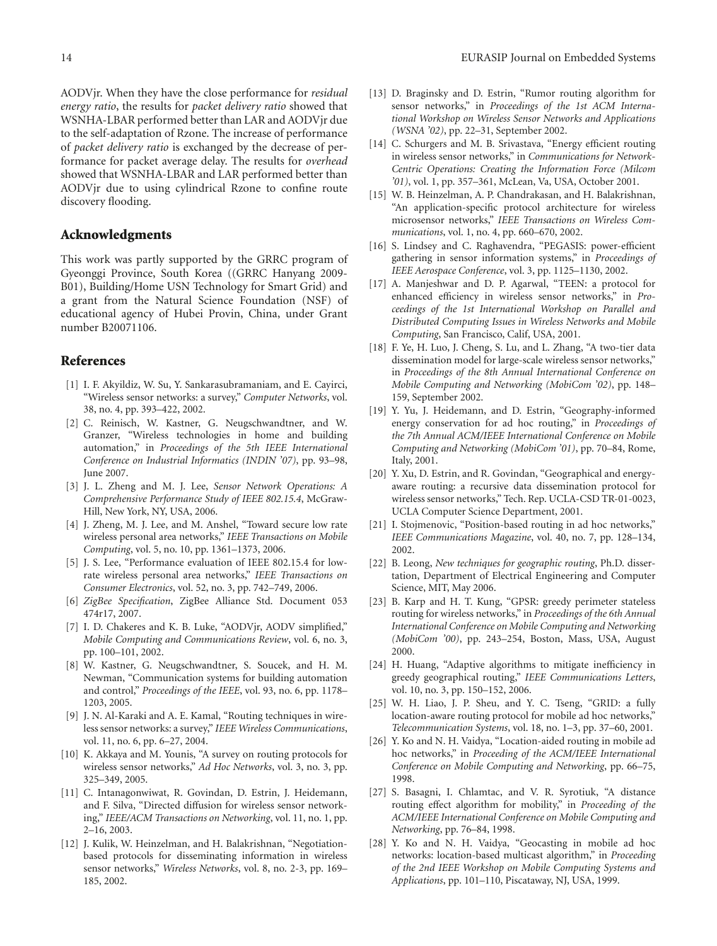AODVjr. When they have the close performance for *residual energy ratio*, the results for *packet delivery ratio* showed that WSNHA-LBAR performed better than LAR and AODVjr due to the self-adaptation of Rzone. The increase of performance of *packet delivery ratio* is exchanged by the decrease of performance for packet average delay. The results for *overhead* showed that WSNHA-LBAR and LAR performed better than AODVjr due to using cylindrical Rzone to confine route discovery flooding.

## **Acknowledgments**

This work was partly supported by the GRRC program of Gyeonggi Province, South Korea ((GRRC Hanyang 2009- B01), Building/Home USN Technology for Smart Grid) and a grant from the Natural Science Foundation (NSF) of educational agency of Hubei Provin, China, under Grant number B20071106.

## **References**

- [1] I. F. Akyildiz, W. Su, Y. Sankarasubramaniam, and E. Cayirci, "Wireless sensor networks: a survey," *Computer Networks*, vol. 38, no. 4, pp. 393–422, 2002.
- [2] C. Reinisch, W. Kastner, G. Neugschwandtner, and W. Granzer, "Wireless technologies in home and building automation," in *Proceedings of the 5th IEEE International Conference on Industrial Informatics (INDIN '07)*, pp. 93–98, June 2007.
- [3] J. L. Zheng and M. J. Lee, *Sensor Network Operations: A Comprehensive Performance Study of IEEE 802.15.4*, McGraw-Hill, New York, NY, USA, 2006.
- [4] J. Zheng, M. J. Lee, and M. Anshel, "Toward secure low rate wireless personal area networks," *IEEE Transactions on Mobile Computing*, vol. 5, no. 10, pp. 1361–1373, 2006.
- [5] J. S. Lee, "Performance evaluation of IEEE 802.15.4 for lowrate wireless personal area networks," *IEEE Transactions on Consumer Electronics*, vol. 52, no. 3, pp. 742–749, 2006.
- [6] *ZigBee Specification*, ZigBee Alliance Std. Document 053 474r17, 2007.
- [7] I. D. Chakeres and K. B. Luke, "AODVjr, AODV simplified," *Mobile Computing and Communications Review*, vol. 6, no. 3, pp. 100–101, 2002.
- [8] W. Kastner, G. Neugschwandtner, S. Soucek, and H. M. Newman, "Communication systems for building automation and control," *Proceedings of the IEEE*, vol. 93, no. 6, pp. 1178– 1203, 2005.
- [9] J. N. Al-Karaki and A. E. Kamal, "Routing techniques in wireless sensor networks: a survey," *IEEE Wireless Communications*, vol. 11, no. 6, pp. 6–27, 2004.
- [10] K. Akkaya and M. Younis, "A survey on routing protocols for wireless sensor networks," *Ad Hoc Networks*, vol. 3, no. 3, pp. 325–349, 2005.
- [11] C. Intanagonwiwat, R. Govindan, D. Estrin, J. Heidemann, and F. Silva, "Directed diffusion for wireless sensor networking," *IEEE/ACM Transactions on Networking*, vol. 11, no. 1, pp. 2–16, 2003.
- [12] J. Kulik, W. Heinzelman, and H. Balakrishnan, "Negotiationbased protocols for disseminating information in wireless sensor networks," *Wireless Networks*, vol. 8, no. 2-3, pp. 169– 185, 2002.
- [13] D. Braginsky and D. Estrin, "Rumor routing algorithm for sensor networks," in *Proceedings of the 1st ACM International Workshop on Wireless Sensor Networks and Applications (WSNA '02)*, pp. 22–31, September 2002.
- [14] C. Schurgers and M. B. Srivastava, "Energy efficient routing in wireless sensor networks," in *Communications for Network-Centric Operations: Creating the Information Force (Milcom '01)*, vol. 1, pp. 357–361, McLean, Va, USA, October 2001.
- [15] W. B. Heinzelman, A. P. Chandrakasan, and H. Balakrishnan, "An application-specific protocol architecture for wireless microsensor networks," *IEEE Transactions on Wireless Communications*, vol. 1, no. 4, pp. 660–670, 2002.
- [16] S. Lindsey and C. Raghavendra, "PEGASIS: power-efficient gathering in sensor information systems," in *Proceedings of IEEE Aerospace Conference*, vol. 3, pp. 1125–1130, 2002.
- [17] A. Manjeshwar and D. P. Agarwal, "TEEN: a protocol for enhanced efficiency in wireless sensor networks," in *Proceedings of the 1st International Workshop on Parallel and Distributed Computing Issues in Wireless Networks and Mobile Computing*, San Francisco, Calif, USA, 2001.
- [18] F. Ye, H. Luo, J. Cheng, S. Lu, and L. Zhang, "A two-tier data dissemination model for large-scale wireless sensor networks," in *Proceedings of the 8th Annual International Conference on Mobile Computing and Networking (MobiCom '02)*, pp. 148– 159, September 2002.
- [19] Y. Yu, J. Heidemann, and D. Estrin, "Geography-informed energy conservation for ad hoc routing," in *Proceedings of the 7th Annual ACM/IEEE International Conference on Mobile Computing and Networking (MobiCom '01)*, pp. 70–84, Rome, Italy, 2001.
- [20] Y. Xu, D. Estrin, and R. Govindan, "Geographical and energyaware routing: a recursive data dissemination protocol for wireless sensor networks," Tech. Rep. UCLA-CSD TR-01-0023, UCLA Computer Science Department, 2001.
- [21] I. Stojmenovic, "Position-based routing in ad hoc networks," *IEEE Communications Magazine*, vol. 40, no. 7, pp. 128–134, 2002.
- [22] B. Leong, *New techniques for geographic routing*, Ph.D. dissertation, Department of Electrical Engineering and Computer Science, MIT, May 2006.
- [23] B. Karp and H. T. Kung, "GPSR: greedy perimeter stateless routing for wireless networks," in *Proceedings of the 6th Annual International Conference on Mobile Computing and Networking (MobiCom '00)*, pp. 243–254, Boston, Mass, USA, August 2000.
- [24] H. Huang, "Adaptive algorithms to mitigate inefficiency in greedy geographical routing," *IEEE Communications Letters*, vol. 10, no. 3, pp. 150–152, 2006.
- [25] W. H. Liao, J. P. Sheu, and Y. C. Tseng, "GRID: a fully location-aware routing protocol for mobile ad hoc networks," *Telecommunication Systems*, vol. 18, no. 1–3, pp. 37–60, 2001.
- [26] Y. Ko and N. H. Vaidya, "Location-aided routing in mobile ad hoc networks," in *Proceeding of the ACM/IEEE International Conference on Mobile Computing and Networking*, pp. 66–75, 1998.
- [27] S. Basagni, I. Chlamtac, and V. R. Syrotiuk, "A distance routing effect algorithm for mobility," in *Proceeding of the ACM/IEEE International Conference on Mobile Computing and Networking*, pp. 76–84, 1998.
- [28] Y. Ko and N. H. Vaidya, "Geocasting in mobile ad hoc networks: location-based multicast algorithm," in *Proceeding of the 2nd IEEE Workshop on Mobile Computing Systems and Applications*, pp. 101–110, Piscataway, NJ, USA, 1999.